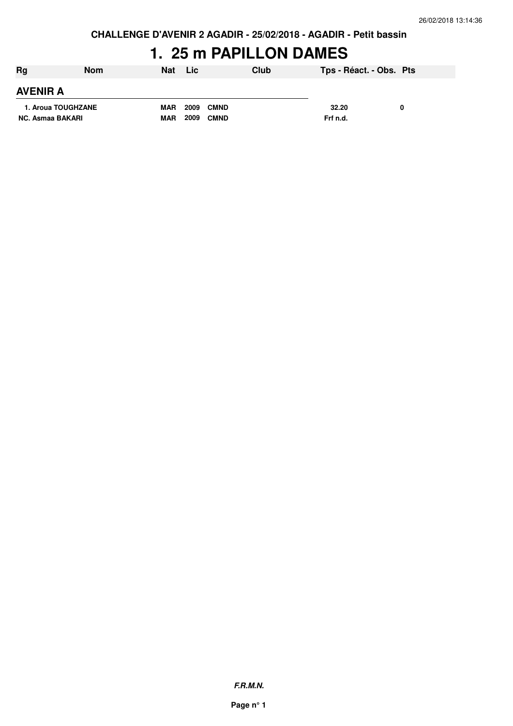**CHALLENGE D'AVENIR 2 AGADIR - 25/02/2018 - AGADIR - Petit bassin**

# **1. 25 m PAPILLON DAMES**

| Rg                 | Nom | <b>Nat</b> | Lic                 | Club | Tps - Réact. - Obs. Pts |  |
|--------------------|-----|------------|---------------------|------|-------------------------|--|
| <b>AVENIR A</b>    |     |            |                     |      |                         |  |
| 1. Aroua TOUGHZANE |     | <b>MAR</b> | 2009<br><b>CMND</b> |      | 32.20                   |  |
| NC. Asmaa BAKARI   |     | <b>MAR</b> | 2009<br><b>CMND</b> |      | Frf n.d.                |  |

**F.R.M.N.**

**Page n° 1**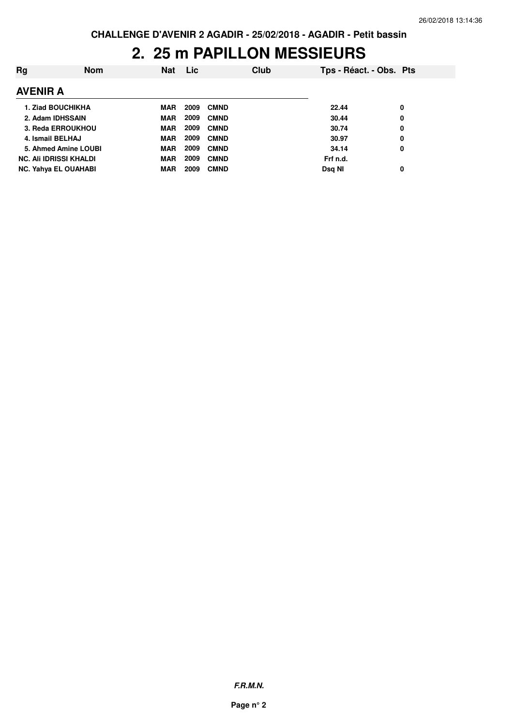### **2. 25 m PAPILLON MESSIEURS**

| Rg                            | <b>Nom</b> | <b>Nat</b> | Lic. |             | Club | Tps - Réact. - Obs. Pts |   |
|-------------------------------|------------|------------|------|-------------|------|-------------------------|---|
| <b>AVENIR A</b>               |            |            |      |             |      |                         |   |
| <b>1. Ziad BOUCHIKHA</b>      |            | <b>MAR</b> | 2009 | <b>CMND</b> |      | 22.44                   | 0 |
| 2. Adam IDHSSAIN              |            | <b>MAR</b> | 2009 | <b>CMND</b> |      | 30.44                   | 0 |
| 3. Reda ERROUKHOU             |            | <b>MAR</b> | 2009 | <b>CMND</b> |      | 30.74                   | 0 |
| 4. Ismail BELHAJ              |            | <b>MAR</b> | 2009 | <b>CMND</b> |      | 30.97                   | 0 |
| 5. Ahmed Amine LOUBI          |            | <b>MAR</b> | 2009 | <b>CMND</b> |      | 34.14                   | 0 |
| <b>NC. Ali IDRISSI KHALDI</b> |            | <b>MAR</b> | 2009 | <b>CMND</b> |      | Frf n.d.                |   |
| <b>NC. Yahya EL OUAHABI</b>   |            | <b>MAR</b> | 2009 | <b>CMND</b> |      | Dsg NI                  | 0 |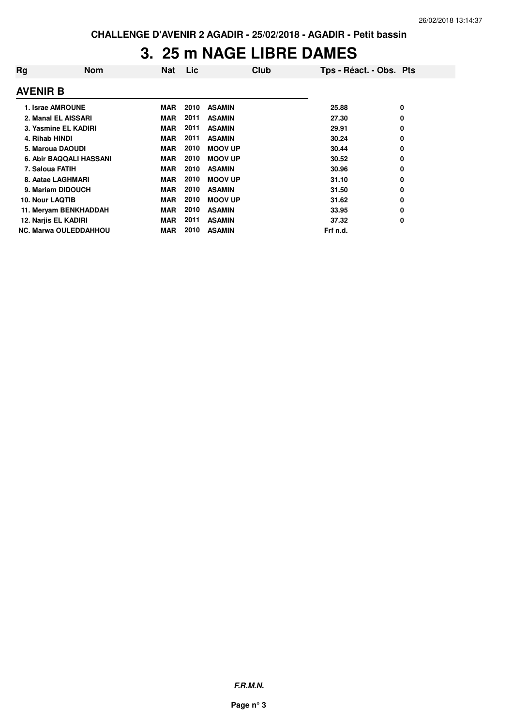### **3. 25 m NAGE LIBRE DAMES**

| Rg              | <b>Nom</b>                     | <b>Nat</b> | Lic  | Club           | Tps - Réact. - Obs. Pts |   |
|-----------------|--------------------------------|------------|------|----------------|-------------------------|---|
| <b>AVENIR B</b> |                                |            |      |                |                         |   |
|                 | 1. Israe AMROUNE               | <b>MAR</b> | 2010 | <b>ASAMIN</b>  | 25.88                   | 0 |
|                 | 2. Manal EL AISSARI            | <b>MAR</b> | 2011 | <b>ASAMIN</b>  | 27.30                   | 0 |
|                 | 3. Yasmine EL KADIRI           | <b>MAR</b> | 2011 | <b>ASAMIN</b>  | 29.91                   | 0 |
| 4. Rihab HINDI  |                                | <b>MAR</b> | 2011 | <b>ASAMIN</b>  | 30.24                   | 0 |
|                 | 5. Maroua DAOUDI               | <b>MAR</b> | 2010 | <b>MOOV UP</b> | 30.44                   | 0 |
|                 | <b>6. Abir BAQQALI HASSANI</b> | <b>MAR</b> | 2010 | <b>MOOV UP</b> | 30.52                   | 0 |
|                 | 7. Saloua FATIH                | <b>MAR</b> | 2010 | <b>ASAMIN</b>  | 30.96                   | 0 |
|                 | 8. Aatae LAGHMARI              | <b>MAR</b> | 2010 | <b>MOOV UP</b> | 31.10                   | 0 |
|                 | 9. Mariam DIDOUCH              | <b>MAR</b> | 2010 | <b>ASAMIN</b>  | 31.50                   | 0 |
| 10. Nour LAQTIB |                                | <b>MAR</b> | 2010 | <b>MOOV UP</b> | 31.62                   | 0 |
|                 | 11. Meryam BENKHADDAH          | <b>MAR</b> | 2010 | <b>ASAMIN</b>  | 33.95                   | 0 |
|                 | 12. Narjis EL KADIRI           | <b>MAR</b> | 2011 | <b>ASAMIN</b>  | 37.32                   | 0 |
|                 | <b>NC. Marwa OULEDDAHHOU</b>   | <b>MAR</b> | 2010 | <b>ASAMIN</b>  | Frf n.d.                |   |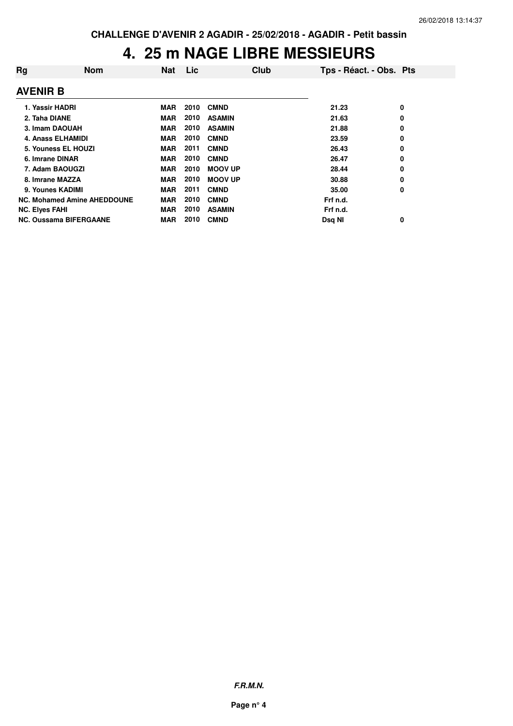# **4. 25 m NAGE LIBRE MESSIEURS**

| Rg                    | <b>Nom</b>                         | <b>Nat</b> | Lic  | Club           | Tps - Réact. - Obs. Pts |   |
|-----------------------|------------------------------------|------------|------|----------------|-------------------------|---|
| <b>AVENIR B</b>       |                                    |            |      |                |                         |   |
| 1. Yassir HADRI       |                                    | <b>MAR</b> | 2010 | <b>CMND</b>    | 21.23                   | 0 |
| 2. Taha DIANE         |                                    | <b>MAR</b> | 2010 | <b>ASAMIN</b>  | 21.63                   | 0 |
|                       | 3. Imam DAOUAH                     | <b>MAR</b> | 2010 | <b>ASAMIN</b>  | 21.88                   | 0 |
|                       | <b>4. Anass ELHAMIDI</b>           | <b>MAR</b> | 2010 | <b>CMND</b>    | 23.59                   | 0 |
|                       | 5. Youness EL HOUZI                | <b>MAR</b> | 2011 | <b>CMND</b>    | 26.43                   | 0 |
| 6. Imrane DINAR       |                                    | <b>MAR</b> | 2010 | <b>CMND</b>    | 26.47                   | 0 |
|                       | 7. Adam BAOUGZI                    | <b>MAR</b> | 2010 | <b>MOOV UP</b> | 28.44                   | 0 |
|                       | 8. Imrane MAZZA                    | MAR        | 2010 | <b>MOOV UP</b> | 30.88                   | 0 |
|                       | 9. Younes KADIMI                   | <b>MAR</b> | 2011 | <b>CMND</b>    | 35.00                   | 0 |
|                       | <b>NC. Mohamed Amine AHEDDOUNE</b> | <b>MAR</b> | 2010 | <b>CMND</b>    | Frf n.d.                |   |
| <b>NC. Elyes FAHI</b> |                                    | <b>MAR</b> | 2010 | <b>ASAMIN</b>  | Frf n.d.                |   |
|                       | <b>NC. Oussama BIFERGAANE</b>      | <b>MAR</b> | 2010 | <b>CMND</b>    | Dsq NI                  | 0 |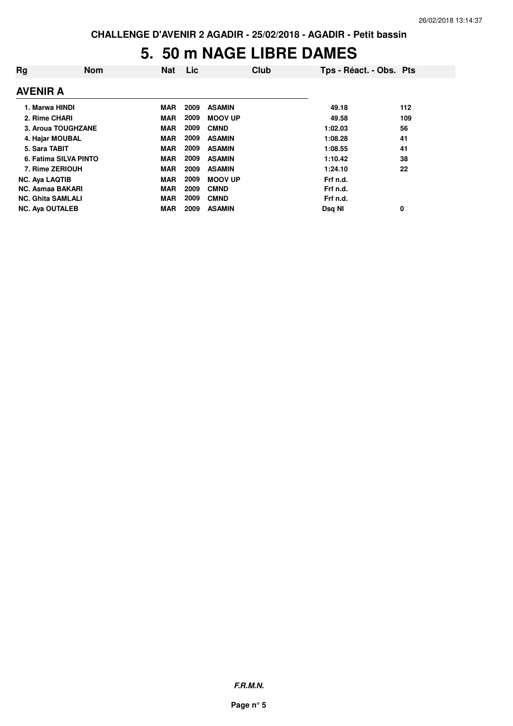### **5. 50 m NAGE LIBRE DAMES**

| Rg                       | <b>Nom</b>            | Nat        | Lic  | Club           | Tps - Réact. - Obs. Pts |     |
|--------------------------|-----------------------|------------|------|----------------|-------------------------|-----|
| <b>AVENIR A</b>          |                       |            |      |                |                         |     |
| 1. Marwa HINDI           |                       | <b>MAR</b> | 2009 | <b>ASAMIN</b>  | 49.18                   | 112 |
| 2. Rime CHARI            |                       | <b>MAR</b> | 2009 | <b>MOOV UP</b> | 49.58                   | 109 |
|                          | 3. Aroua TOUGHZANE    | <b>MAR</b> | 2009 | <b>CMND</b>    | 1:02.03                 | 56  |
|                          | 4. Hajar MOUBAL       | <b>MAR</b> | 2009 | <b>ASAMIN</b>  | 1:08.28                 | 41  |
| 5. Sara TABIT            |                       | <b>MAR</b> | 2009 | <b>ASAMIN</b>  | 1:08.55                 | 41  |
|                          | 6. Fatima SILVA PINTO | <b>MAR</b> | 2009 | <b>ASAMIN</b>  | 1:10.42                 | 38  |
|                          | 7. Rime ZERIOUH       | <b>MAR</b> | 2009 | <b>ASAMIN</b>  | 1:24.10                 | 22  |
| <b>NC. Aya LAQTIB</b>    |                       | <b>MAR</b> | 2009 | <b>MOOV UP</b> | Frf n.d.                |     |
| <b>NC. Asmaa BAKARI</b>  |                       | <b>MAR</b> | 2009 | <b>CMND</b>    | Frf n.d.                |     |
| <b>NC. Ghita SAMLALI</b> |                       | <b>MAR</b> | 2009 | <b>CMND</b>    | Frf n.d.                |     |
| <b>NC. Aya OUTALEB</b>   |                       | <b>MAR</b> | 2009 | <b>ASAMIN</b>  | Dsq NI                  | 0   |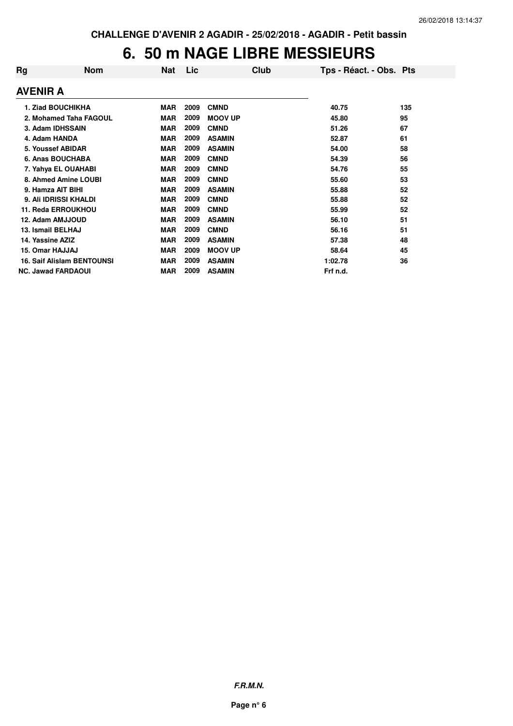### **6. 50 m NAGE LIBRE MESSIEURS**

| Rg                | <b>Nom</b>                        | <b>Nat</b> | Lic  | Club           | Tps - Réact. - Obs. Pts |     |
|-------------------|-----------------------------------|------------|------|----------------|-------------------------|-----|
| <b>AVENIR A</b>   |                                   |            |      |                |                         |     |
|                   | 1. Ziad BOUCHIKHA                 | <b>MAR</b> | 2009 | <b>CMND</b>    | 40.75                   | 135 |
|                   | 2. Mohamed Taha FAGOUL            | <b>MAR</b> | 2009 | <b>MOOV UP</b> | 45.80                   | 95  |
|                   | 3. Adam IDHSSAIN                  | <b>MAR</b> | 2009 | <b>CMND</b>    | 51.26                   | 67  |
| 4. Adam HANDA     |                                   | <b>MAR</b> | 2009 | <b>ASAMIN</b>  | 52.87                   | 61  |
|                   | 5. Youssef ABIDAR                 | <b>MAR</b> | 2009 | <b>ASAMIN</b>  | 54.00                   | 58  |
|                   | 6. Anas BOUCHABA                  | <b>MAR</b> | 2009 | <b>CMND</b>    | 54.39                   | 56  |
|                   | 7. Yahya EL OUAHABI               | <b>MAR</b> | 2009 | <b>CMND</b>    | 54.76                   | 55  |
|                   | 8. Ahmed Amine LOUBI              | <b>MAR</b> | 2009 | <b>CMND</b>    | 55.60                   | 53  |
| 9. Hamza AIT BIHI |                                   | <b>MAR</b> | 2009 | <b>ASAMIN</b>  | 55.88                   | 52  |
|                   | 9. Ali IDRISSI KHALDI             | <b>MAR</b> | 2009 | <b>CMND</b>    | 55.88                   | 52  |
|                   | 11. Reda ERROUKHOU                | <b>MAR</b> | 2009 | <b>CMND</b>    | 55.99                   | 52  |
| 12. Adam AMJJOUD  |                                   | <b>MAR</b> | 2009 | <b>ASAMIN</b>  | 56.10                   | 51  |
| 13. Ismail BELHAJ |                                   | <b>MAR</b> | 2009 | <b>CMND</b>    | 56.16                   | 51  |
| 14. Yassine AZIZ  |                                   | <b>MAR</b> | 2009 | <b>ASAMIN</b>  | 57.38                   | 48  |
| 15. Omar HAJJAJ   |                                   | <b>MAR</b> | 2009 | <b>MOOV UP</b> | 58.64                   | 45  |
|                   | <b>16. Saif Alislam BENTOUNSI</b> | <b>MAR</b> | 2009 | <b>ASAMIN</b>  | 1:02.78                 | 36  |
|                   | <b>NC. Jawad FARDAOUI</b>         | <b>MAR</b> | 2009 | <b>ASAMIN</b>  | Frf n.d.                |     |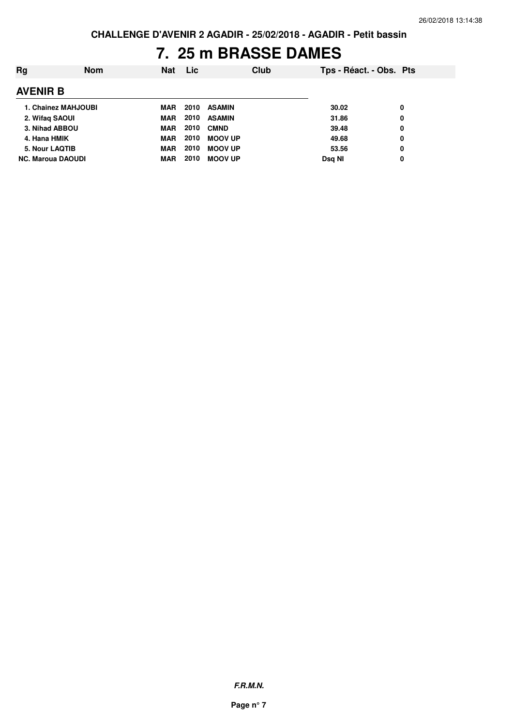## **7. 25 m BRASSE DAMES**

| Ra                       | <b>Nom</b>                 | <b>Nat</b> | <b>Lic</b> | Club           | Tps - Réact. - Obs. Pts |   |
|--------------------------|----------------------------|------------|------------|----------------|-------------------------|---|
| <b>AVENIR B</b>          |                            |            |            |                |                         |   |
|                          | <b>1. Chainez MAHJOUBI</b> | <b>MAR</b> | 2010       | <b>ASAMIN</b>  | 30.02                   | 0 |
| 2. Wifag SAOUI           |                            | <b>MAR</b> | 2010       | <b>ASAMIN</b>  | 31.86                   | 0 |
| 3. Nihad ABBOU           |                            | <b>MAR</b> | 2010       | <b>CMND</b>    | 39.48                   | 0 |
| 4. Hana HMIK             |                            | <b>MAR</b> | 2010       | <b>MOOV UP</b> | 49.68                   | 0 |
| 5. Nour LAQTIB           |                            | <b>MAR</b> | 2010       | <b>MOOV UP</b> | 53.56                   | 0 |
| <b>NC. Maroua DAOUDI</b> |                            | <b>MAR</b> | 2010       | <b>MOOV UP</b> | Dsg NI                  | 0 |
|                          |                            |            |            |                |                         |   |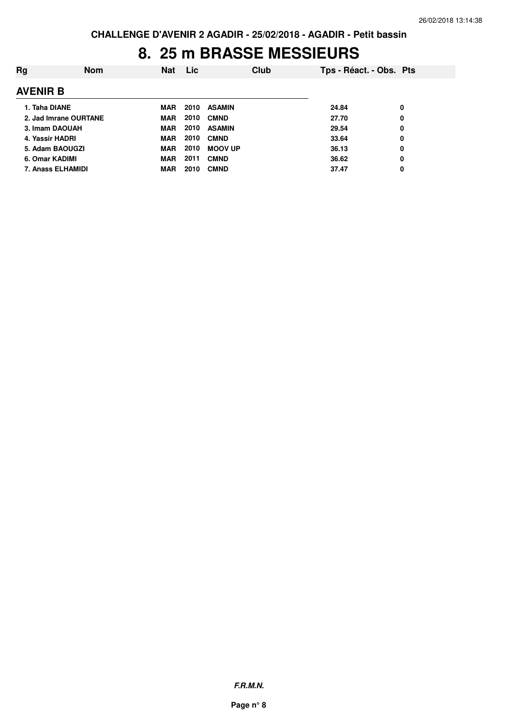### **8. 25 m BRASSE MESSIEURS**

| Rg              | <b>Nom</b>            | <b>Nat</b> | <b>Lic</b> | Club           | Tps - Réact. - Obs. Pts |   |
|-----------------|-----------------------|------------|------------|----------------|-------------------------|---|
| <b>AVENIR B</b> |                       |            |            |                |                         |   |
| 1. Taha DIANE   |                       | MAR        | 2010       | <b>ASAMIN</b>  | 24.84                   | 0 |
|                 | 2. Jad Imrane OURTANE | <b>MAR</b> | 2010       | <b>CMND</b>    | 27.70                   | 0 |
|                 | 3. Imam DAOUAH        | <b>MAR</b> | 2010       | <b>ASAMIN</b>  | 29.54                   | 0 |
|                 | 4. Yassir HADRI       | <b>MAR</b> | 2010       | <b>CMND</b>    | 33.64                   | 0 |
|                 | 5. Adam BAOUGZI       | <b>MAR</b> | 2010       | <b>MOOV UP</b> | 36.13                   | 0 |
|                 | 6. Omar KADIMI        | <b>MAR</b> | 2011       | <b>CMND</b>    | 36.62                   | 0 |
|                 | 7. Anass ELHAMIDI     | MAR        | 2010       | <b>CMND</b>    | 37.47                   | 0 |
|                 |                       |            |            |                |                         |   |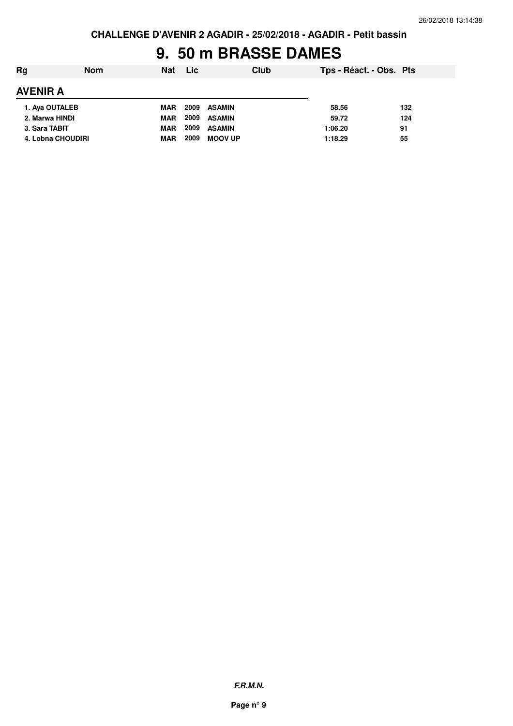# **9. 50 m BRASSE DAMES**

| Rg                | <b>Nom</b> | <b>Nat</b> | <b>Lic</b> |                | Club | Tps - Réact. - Obs. Pts |     |
|-------------------|------------|------------|------------|----------------|------|-------------------------|-----|
| <b>AVENIR A</b>   |            |            |            |                |      |                         |     |
| 1. Aya OUTALEB    |            | MAR        | 2009       | <b>ASAMIN</b>  |      | 58.56                   | 132 |
| 2. Marwa HINDI    |            | <b>MAR</b> | 2009       | <b>ASAMIN</b>  |      | 59.72                   | 124 |
| 3. Sara TABIT     |            | <b>MAR</b> | 2009       | <b>ASAMIN</b>  |      | 1:06.20                 | 91  |
| 4. Lobna CHOUDIRI |            | <b>MAR</b> | 2009       | <b>MOOV UP</b> |      | 1:18.29                 | 55  |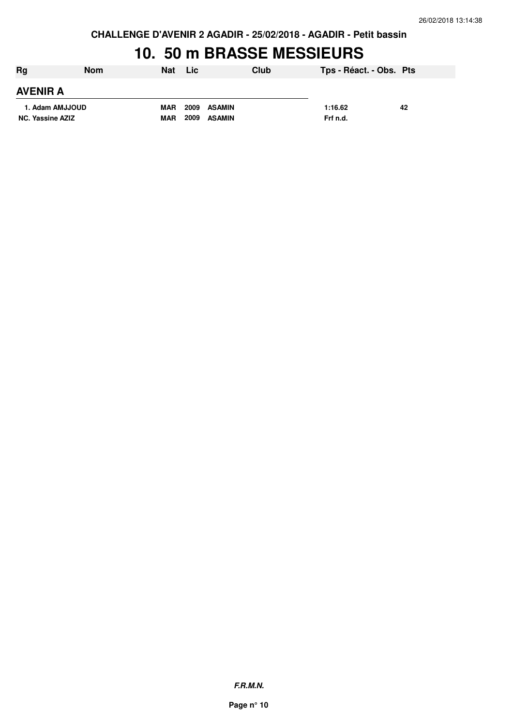**CHALLENGE D'AVENIR 2 AGADIR - 25/02/2018 - AGADIR - Petit bassin**

#### **10. 50 m BRASSE MESSIEURS**

| Rg                      | <b>Nom</b> | <b>Nat</b> | Lic                   | Club | Tps - Réact. - Obs. Pts |    |
|-------------------------|------------|------------|-----------------------|------|-------------------------|----|
| <b>AVENIR A</b>         |            |            |                       |      |                         |    |
| 1. Adam AMJJOUD         |            | <b>MAR</b> | 2009<br>ASAMIN        |      | 1:16.62                 | 42 |
| <b>NC. Yassine AZIZ</b> |            | <b>MAR</b> | 2009<br><b>ASAMIN</b> |      | Frf n.d.                |    |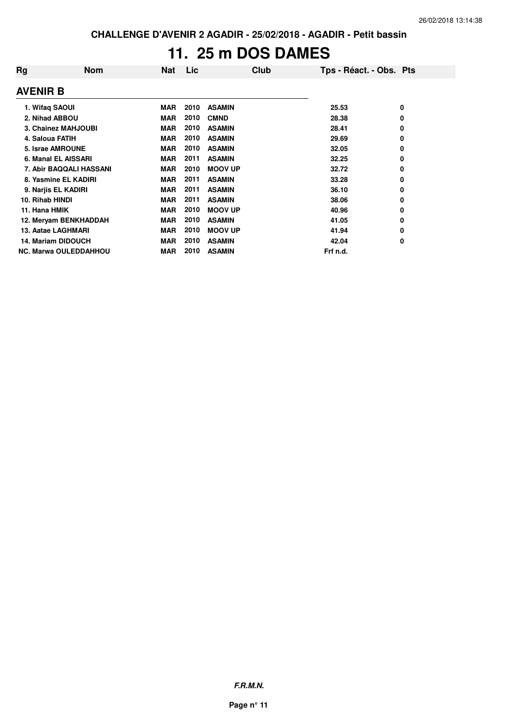# **11. 25 m DOS DAMES**

| Rg              | <b>Nom</b>                   | Nat        | Lic  | Club           | Tps - Réact. - Obs. Pts |   |
|-----------------|------------------------------|------------|------|----------------|-------------------------|---|
| <b>AVENIR B</b> |                              |            |      |                |                         |   |
|                 | 1. Wifaq SAOUI               | <b>MAR</b> | 2010 | <b>ASAMIN</b>  | 25.53                   | 0 |
|                 | 2. Nihad ABBOU               | <b>MAR</b> | 2010 | <b>CMND</b>    | 28.38                   | 0 |
|                 | 3. Chainez MAHJOUBI          | <b>MAR</b> | 2010 | <b>ASAMIN</b>  | 28.41                   | 0 |
|                 | 4. Saloua FATIH              | <b>MAR</b> | 2010 | <b>ASAMIN</b>  | 29.69                   | 0 |
|                 | 5. Israe AMROUNE             | <b>MAR</b> | 2010 | <b>ASAMIN</b>  | 32.05                   | 0 |
|                 | 6. Manal EL AISSARI          | <b>MAR</b> | 2011 | <b>ASAMIN</b>  | 32.25                   | 0 |
|                 | 7. Abir BAQQALI HASSANI      | <b>MAR</b> | 2010 | <b>MOOV UP</b> | 32.72                   | 0 |
|                 | 8. Yasmine EL KADIRI         | <b>MAR</b> | 2011 | <b>ASAMIN</b>  | 33.28                   | 0 |
|                 | 9. Narjis EL KADIRI          | <b>MAR</b> | 2011 | <b>ASAMIN</b>  | 36.10                   | 0 |
| 10. Rihab HINDI |                              | <b>MAR</b> | 2011 | <b>ASAMIN</b>  | 38.06                   | 0 |
| 11. Hana HMIK   |                              | <b>MAR</b> | 2010 | <b>MOOV UP</b> | 40.96                   | 0 |
|                 | 12. Meryam BENKHADDAH        | <b>MAR</b> | 2010 | <b>ASAMIN</b>  | 41.05                   | 0 |
|                 | 13. Aatae LAGHMARI           | <b>MAR</b> | 2010 | <b>MOOV UP</b> | 41.94                   | 0 |
|                 | <b>14. Mariam DIDOUCH</b>    | <b>MAR</b> | 2010 | <b>ASAMIN</b>  | 42.04                   | 0 |
|                 | <b>NC. Marwa OULEDDAHHOU</b> | <b>MAR</b> | 2010 | <b>ASAMIN</b>  | Frf n.d.                |   |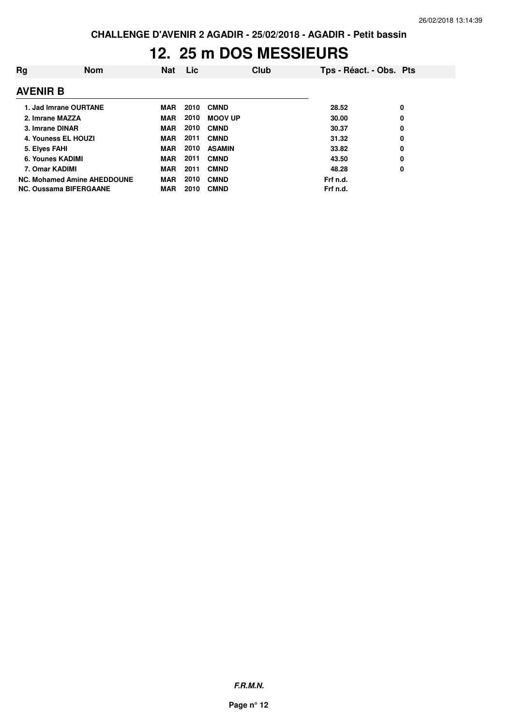## **12. 25 m DOS MESSIEURS**

| Rg              | <b>Nom</b>                         | Nat        | Lic. |                | <b>Club</b> | Tps - Réact. - Obs. Pts |   |
|-----------------|------------------------------------|------------|------|----------------|-------------|-------------------------|---|
| <b>AVENIR B</b> |                                    |            |      |                |             |                         |   |
|                 | 1. Jad Imrane OURTANE              | <b>MAR</b> | 2010 | <b>CMND</b>    |             | 28.52                   | 0 |
|                 | 2. Imrane MAZZA                    | <b>MAR</b> | 2010 | <b>MOOV UP</b> |             | 30.00                   | 0 |
|                 | 3. Imrane DINAR                    | <b>MAR</b> | 2010 | <b>CMND</b>    |             | 30.37                   | 0 |
|                 | 4. Youness EL HOUZI                | <b>MAR</b> | 2011 | <b>CMND</b>    |             | 31.32                   | 0 |
| 5. Elyes FAHI   |                                    | <b>MAR</b> | 2010 | <b>ASAMIN</b>  |             | 33.82                   | 0 |
|                 | 6. Younes KADIMI                   | <b>MAR</b> | 2011 | <b>CMND</b>    |             | 43.50                   | 0 |
| 7. Omar KADIMI  |                                    | <b>MAR</b> | 2011 | <b>CMND</b>    |             | 48.28                   | 0 |
|                 | <b>NC. Mohamed Amine AHEDDOUNE</b> | <b>MAR</b> | 2010 | <b>CMND</b>    |             | Frf n.d.                |   |
|                 | <b>NC. Oussama BIFERGAANE</b>      | <b>MAR</b> | 2010 | <b>CMND</b>    |             | Frf n.d.                |   |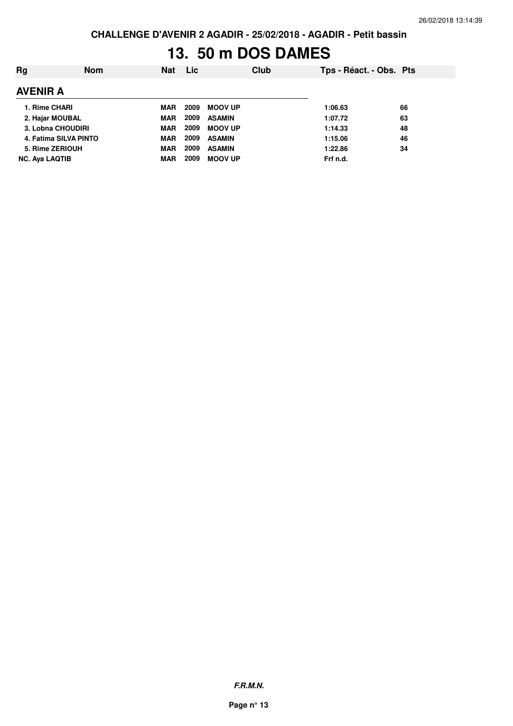**CHALLENGE D'AVENIR 2 AGADIR - 25/02/2018 - AGADIR - Petit bassin**

# **13. 50 m DOS DAMES**

| Rg                    | <b>Nom</b> | <b>Nat</b> | Lic  | Club           | Tps - Réact. - Obs. Pts |    |
|-----------------------|------------|------------|------|----------------|-------------------------|----|
| <b>AVENIR A</b>       |            |            |      |                |                         |    |
| 1. Rime CHARI         |            | <b>MAR</b> | 2009 | <b>MOOV UP</b> | 1:06.63                 | 66 |
| 2. Hajar MOUBAL       |            | <b>MAR</b> | 2009 | <b>ASAMIN</b>  | 1:07.72                 | 63 |
| 3. Lobna CHOUDIRI     |            | <b>MAR</b> | 2009 | <b>MOOV UP</b> | 1:14.33                 | 48 |
| 4. Fatima SILVA PINTO |            | <b>MAR</b> | 2009 | <b>ASAMIN</b>  | 1:15.06                 | 46 |
| 5. Rime ZERIOUH       |            | <b>MAR</b> | 2009 | <b>ASAMIN</b>  | 1:22.86                 | 34 |
| <b>NC. Ava LAQTIB</b> |            | <b>MAR</b> | 2009 | <b>MOOV UP</b> | Frf n.d.                |    |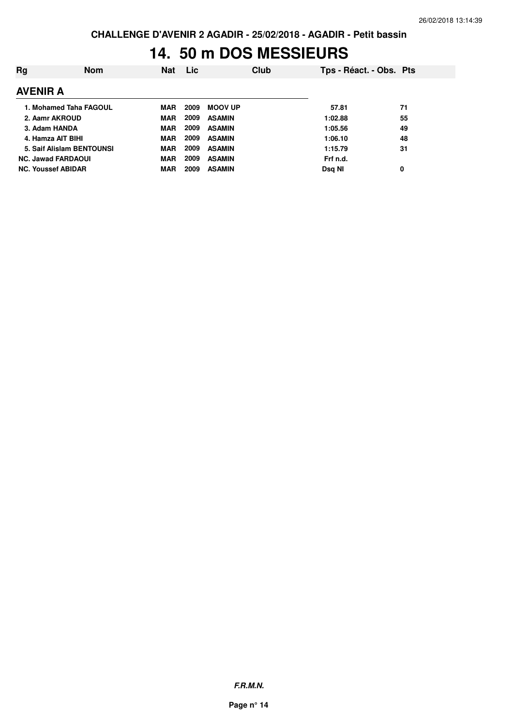## **14. 50 m DOS MESSIEURS**

| Rg                        | <b>Nom</b> | <b>Nat</b> | Lic  |                | Club | Tps - Réact. - Obs. Pts |    |
|---------------------------|------------|------------|------|----------------|------|-------------------------|----|
| <b>AVENIR A</b>           |            |            |      |                |      |                         |    |
| 1. Mohamed Taha FAGOUL    |            | MAR        | 2009 | <b>MOOV UP</b> |      | 57.81                   | 71 |
| 2. Aamr AKROUD            |            | <b>MAR</b> | 2009 | <b>ASAMIN</b>  |      | 1:02.88                 | 55 |
| 3. Adam HANDA             |            | <b>MAR</b> | 2009 | <b>ASAMIN</b>  |      | 1:05.56                 | 49 |
| 4. Hamza AIT BIHI         |            | MAR        | 2009 | <b>ASAMIN</b>  |      | 1:06.10                 | 48 |
| 5. Saif Alislam BENTOUNSI |            | <b>MAR</b> | 2009 | <b>ASAMIN</b>  |      | 1:15.79                 | 31 |
| <b>NC. Jawad FARDAOUI</b> |            | <b>MAR</b> | 2009 | <b>ASAMIN</b>  |      | Frf n.d.                |    |
| <b>NC. Youssef ABIDAR</b> |            | <b>MAR</b> | 2009 | <b>ASAMIN</b>  |      | Dsg NI                  | 0  |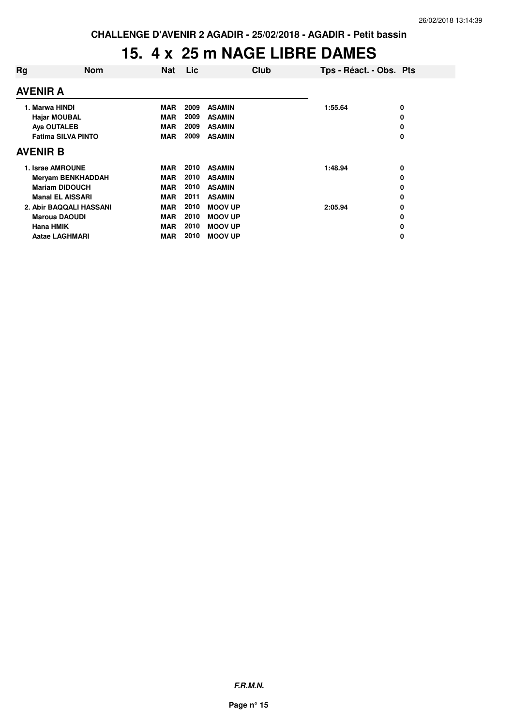### **15. 4 x 25 m NAGE LIBRE DAMES**

|                           | <b>Nat</b>                                                                                                                                                                                 | Lic                                    | <b>Club</b>    | Tps - Réact. - Obs. Pts |   |
|---------------------------|--------------------------------------------------------------------------------------------------------------------------------------------------------------------------------------------|----------------------------------------|----------------|-------------------------|---|
|                           |                                                                                                                                                                                            |                                        |                |                         |   |
|                           | <b>MAR</b>                                                                                                                                                                                 | 2009                                   | <b>ASAMIN</b>  | 1:55.64                 | 0 |
| <b>Hajar MOUBAL</b>       |                                                                                                                                                                                            | 2009                                   | <b>ASAMIN</b>  |                         | 0 |
| Aya OUTALEB               |                                                                                                                                                                                            | 2009                                   | <b>ASAMIN</b>  |                         | 0 |
| <b>Fatima SILVA PINTO</b> |                                                                                                                                                                                            | 2009                                   | <b>ASAMIN</b>  |                         | 0 |
|                           |                                                                                                                                                                                            |                                        |                |                         |   |
|                           | MAR                                                                                                                                                                                        | 2010                                   | <b>ASAMIN</b>  | 1:48.94                 | 0 |
|                           | MAR                                                                                                                                                                                        | 2010                                   | <b>ASAMIN</b>  |                         | 0 |
|                           | <b>MAR</b>                                                                                                                                                                                 | 2010                                   | <b>ASAMIN</b>  |                         | 0 |
|                           | <b>MAR</b>                                                                                                                                                                                 | 2011                                   | <b>ASAMIN</b>  |                         | 0 |
|                           | <b>MAR</b>                                                                                                                                                                                 | 2010                                   | <b>MOOV UP</b> | 2:05.94                 | 0 |
|                           | <b>MAR</b>                                                                                                                                                                                 | 2010                                   | <b>MOOV UP</b> |                         | 0 |
|                           | <b>MAR</b>                                                                                                                                                                                 | 2010                                   | <b>MOOV UP</b> |                         | 0 |
|                           | <b>MAR</b>                                                                                                                                                                                 | 2010                                   | <b>MOOV UP</b> |                         | 0 |
|                           | <b>Nom</b><br>1. Israe AMROUNE<br><b>Meryam BENKHADDAH</b><br><b>Mariam DIDOUCH</b><br><b>Manal EL AISSARI</b><br>2. Abir BAQQALI HASSANI<br><b>Maroua DAOUDI</b><br><b>Aatae LAGHMARI</b> | <b>MAR</b><br><b>MAR</b><br><b>MAR</b> |                |                         |   |